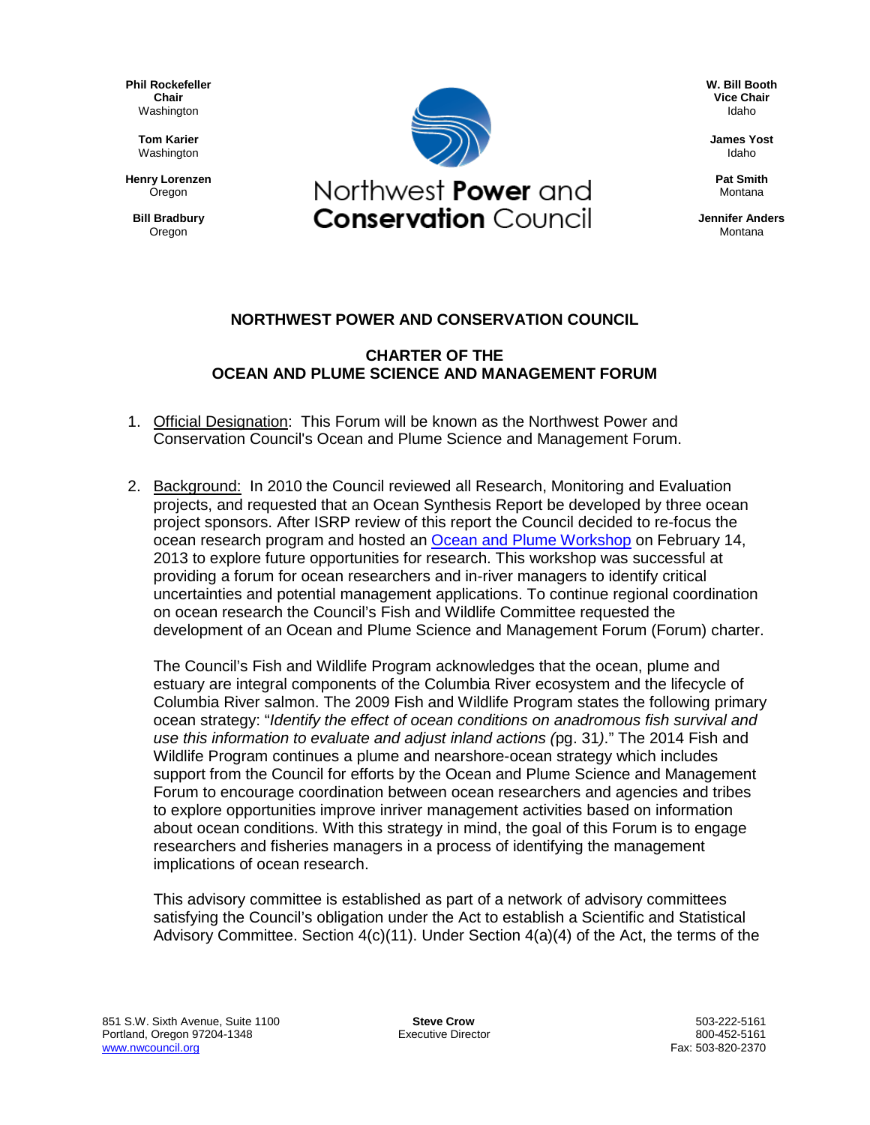**Phil Rockefeller Chair** Washington

> **Tom Karier** Washington

**Henry Lorenzen Oregon** 

**Bill Bradbury** Oregon



**W. Bill Booth Vice Chair** Idaho

**James Yost** Idaho

**Pat Smith** Montana

**Jennifer Anders** Montana

## **NORTHWEST POWER AND CONSERVATION COUNCIL**

## **CHARTER OF THE OCEAN AND PLUME SCIENCE AND MANAGEMENT FORUM**

- 1. Official Designation: This Forum will be known as the Northwest Power and Conservation Council's Ocean and Plume Science and Management Forum.
- 2. Background: In 2010 the Council reviewed all Research, Monitoring and Evaluation projects, and requested that an Ocean Synthesis Report be developed by three ocean project sponsors. After ISRP review of this report the Council decided to re-focus the ocean research program and hosted an [Ocean and Plume Workshop](http://www.nwcouncil.org/fw/program/oceanplume/) on February 14, 2013 to explore future opportunities for research. This workshop was successful at providing a forum for ocean researchers and in-river managers to identify critical uncertainties and potential management applications. To continue regional coordination on ocean research the Council's Fish and Wildlife Committee requested the development of an Ocean and Plume Science and Management Forum (Forum) charter.

The Council's Fish and Wildlife Program acknowledges that the ocean, plume and estuary are integral components of the Columbia River ecosystem and the lifecycle of Columbia River salmon. The 2009 Fish and Wildlife Program states the following primary ocean strategy: "*Identify the effect of ocean conditions on anadromous fish survival and use this information to evaluate and adjust inland actions (*pg. 31*)*." The 2014 Fish and Wildlife Program continues a plume and nearshore-ocean strategy which includes support from the Council for efforts by the Ocean and Plume Science and Management Forum to encourage coordination between ocean researchers and agencies and tribes to explore opportunities improve inriver management activities based on information about ocean conditions. With this strategy in mind, the goal of this Forum is to engage researchers and fisheries managers in a process of identifying the management implications of ocean research.

This advisory committee is established as part of a network of advisory committees satisfying the Council's obligation under the Act to establish a Scientific and Statistical Advisory Committee. Section  $4(c)(11)$ . Under Section  $4(a)(4)$  of the Act, the terms of the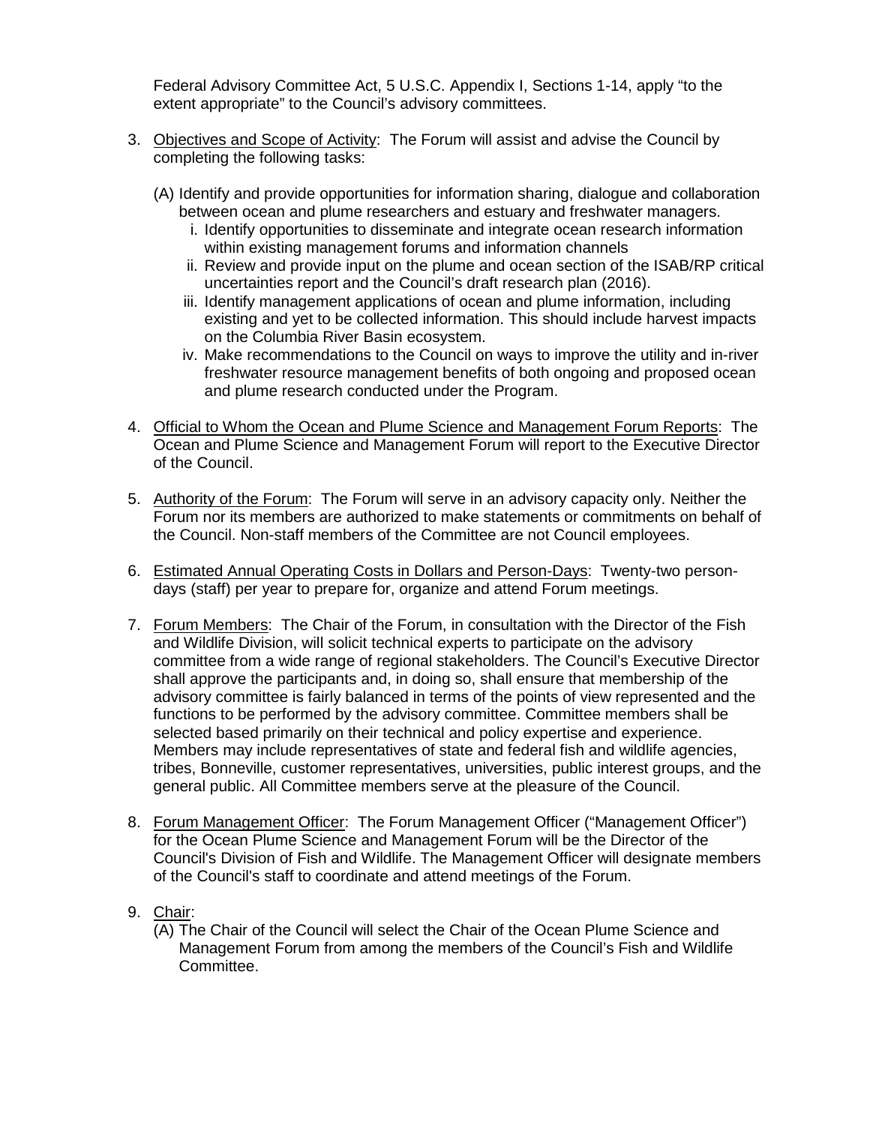Federal Advisory Committee Act, 5 U.S.C. Appendix I, Sections 1-14, apply "to the extent appropriate" to the Council's advisory committees.

- 3. Objectives and Scope of Activity: The Forum will assist and advise the Council by completing the following tasks:
	- (A) Identify and provide opportunities for information sharing, dialogue and collaboration between ocean and plume researchers and estuary and freshwater managers.
		- i. Identify opportunities to disseminate and integrate ocean research information within existing management forums and information channels
		- ii. Review and provide input on the plume and ocean section of the ISAB/RP critical uncertainties report and the Council's draft research plan (2016).
		- iii. Identify management applications of ocean and plume information, including existing and yet to be collected information. This should include harvest impacts on the Columbia River Basin ecosystem.
		- iv. Make recommendations to the Council on ways to improve the utility and in-river freshwater resource management benefits of both ongoing and proposed ocean and plume research conducted under the Program.
- 4. Official to Whom the Ocean and Plume Science and Management Forum Reports: The Ocean and Plume Science and Management Forum will report to the Executive Director of the Council.
- 5. Authority of the Forum: The Forum will serve in an advisory capacity only. Neither the Forum nor its members are authorized to make statements or commitments on behalf of the Council. Non-staff members of the Committee are not Council employees.
- 6. Estimated Annual Operating Costs in Dollars and Person-Days: Twenty-two persondays (staff) per year to prepare for, organize and attend Forum meetings.
- 7. Forum Members: The Chair of the Forum, in consultation with the Director of the Fish and Wildlife Division, will solicit technical experts to participate on the advisory committee from a wide range of regional stakeholders. The Council's Executive Director shall approve the participants and, in doing so, shall ensure that membership of the advisory committee is fairly balanced in terms of the points of view represented and the functions to be performed by the advisory committee. Committee members shall be selected based primarily on their technical and policy expertise and experience. Members may include representatives of state and federal fish and wildlife agencies, tribes, Bonneville, customer representatives, universities, public interest groups, and the general public. All Committee members serve at the pleasure of the Council.
- 8. Forum Management Officer: The Forum Management Officer ("Management Officer") for the Ocean Plume Science and Management Forum will be the Director of the Council's Division of Fish and Wildlife. The Management Officer will designate members of the Council's staff to coordinate and attend meetings of the Forum.
- 9. Chair:

(A) The Chair of the Council will select the Chair of the Ocean Plume Science and Management Forum from among the members of the Council's Fish and Wildlife Committee.